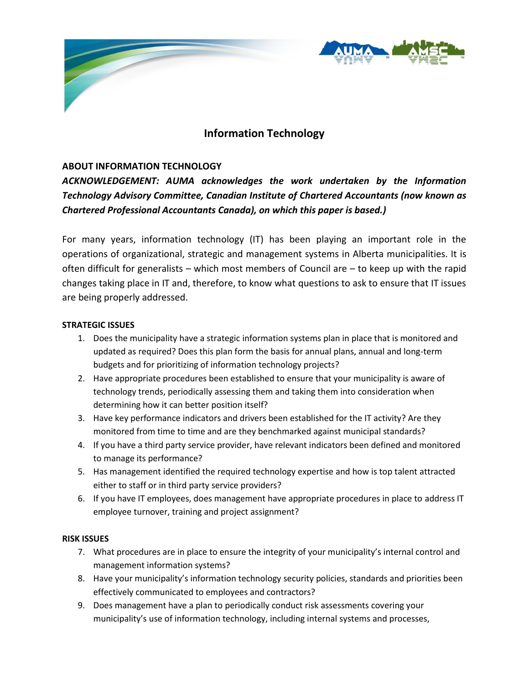

# **Information Technology**

## **ABOUT INFORMATION TECHNOLOGY**

*ACKNOWLEDGEMENT: AUMA acknowledges the work undertaken by the Information Technology Advisory Committee, Canadian Institute of Chartered Accountants (now known as Chartered Professional Accountants Canada), on which this paper is based.)*

For many years, information technology (IT) has been playing an important role in the operations of organizational, strategic and management systems in Alberta municipalities. It is often difficult for generalists – which most members of Council are – to keep up with the rapid changes taking place in IT and, therefore, to know what questions to ask to ensure that IT issues are being properly addressed.

#### **STRATEGIC ISSUES**

- 1. Does the municipality have a strategic information systems plan in place that is monitored and updated as required? Does this plan form the basis for annual plans, annual and long-term budgets and for prioritizing of information technology projects?
- 2. Have appropriate procedures been established to ensure that your municipality is aware of technology trends, periodically assessing them and taking them into consideration when determining how it can better position itself?
- 3. Have key performance indicators and drivers been established for the IT activity? Are they monitored from time to time and are they benchmarked against municipal standards?
- 4. If you have a third party service provider, have relevant indicators been defined and monitored to manage its performance?
- 5. Has management identified the required technology expertise and how is top talent attracted either to staff or in third party service providers?
- 6. If you have IT employees, does management have appropriate procedures in place to address IT employee turnover, training and project assignment?

### **RISK ISSUES**

- 7. What procedures are in place to ensure the integrity of your municipality's internal control and management information systems?
- 8. Have your municipality's information technology security policies, standards and priorities been effectively communicated to employees and contractors?
- 9. Does management have a plan to periodically conduct risk assessments covering your municipality's use of information technology, including internal systems and processes,